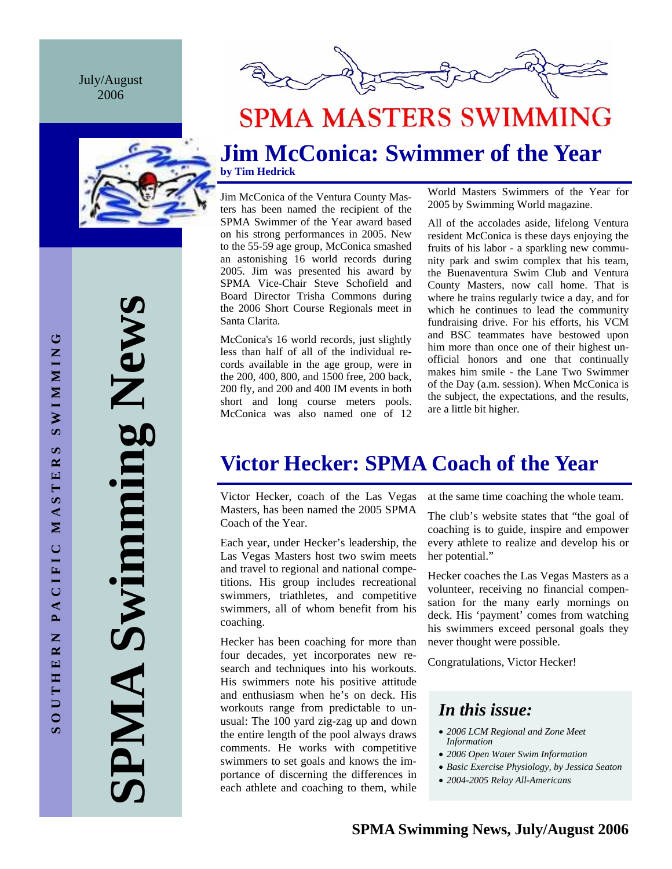July/August 2006





## **SPMA MASTERS SWIMMING**

## **Jim McConica: Swimmer of the Year by Tim Hedrick**

Jim McConica of the Ventura County Masters has been named the recipient of the SPMA Swimmer of the Year award based on his strong performances in 2005. New to the 55-59 age group, McConica smashed an astonishing 16 world records during 2005. Jim was presented his award by SPMA Vice-Chair Steve Schofield and Board Director Trisha Commons during the 2006 Short Course Regionals meet in Santa Clarita.

McConica's 16 world records, just slightly less than half of all of the individual records available in the age group, were in the 200, 400, 800, and 1500 free, 200 back, 200 fly, and 200 and 400 IM events in both short and long course meters pools. McConica was also named one of 12

World Masters Swimmers of the Year for 2005 by Swimming World magazine.

All of the accolades aside, lifelong Ventura resident McConica is these days enjoying the fruits of his labor - a sparkling new community park and swim complex that his team, the Buenaventura Swim Club and Ventura County Masters, now call home. That is where he trains regularly twice a day, and for which he continues to lead the community fundraising drive. For his efforts, his VCM and BSC teammates have bestowed upon him more than once one of their highest unofficial honors and one that continually makes him smile - the Lane Two Swimmer of the Day (a.m. session). When McConica is the subject, the expectations, and the results, are a little bit higher.

## **Victor Hecker: SPMA Coach of the Year**

Victor Hecker, coach of the Las Vegas Masters, has been named the 2005 SPMA Coach of the Year.

Each year, under Hecker's leadership, the Las Vegas Masters host two swim meets and travel to regional and national competitions. His group includes recreational swimmers, triathletes, and competitive swimmers, all of whom benefit from his coaching.

Hecker has been coaching for more than four decades, yet incorporates new research and techniques into his workouts. His swimmers note his positive attitude and enthusiasm when he's on deck. His workouts range from predictable to unusual: The 100 yard zig-zag up and down the entire length of the pool always draws comments. He works with competitive swimmers to set goals and knows the importance of discerning the differences in each athlete and coaching to them, while

at the same time coaching the whole team.

The club's website states that "the goal of coaching is to guide, inspire and empower every athlete to realize and develop his or her potential."

Hecker coaches the Las Vegas Masters as a volunteer, receiving no financial compensation for the many early mornings on deck. His 'payment' comes from watching his swimmers exceed personal goals they never thought were possible.

Congratulations, Victor Hecker!

## *In this issue:*

- *2006 LCM Regional and Zone Meet Information*
- *2006 Open Water Swim Information*
- *Basic Exercise Physiology, by Jessica Seaton*
- *2004-2005 Relay All-Americans*

**SPMA Swimming News**  Swimming New ANNI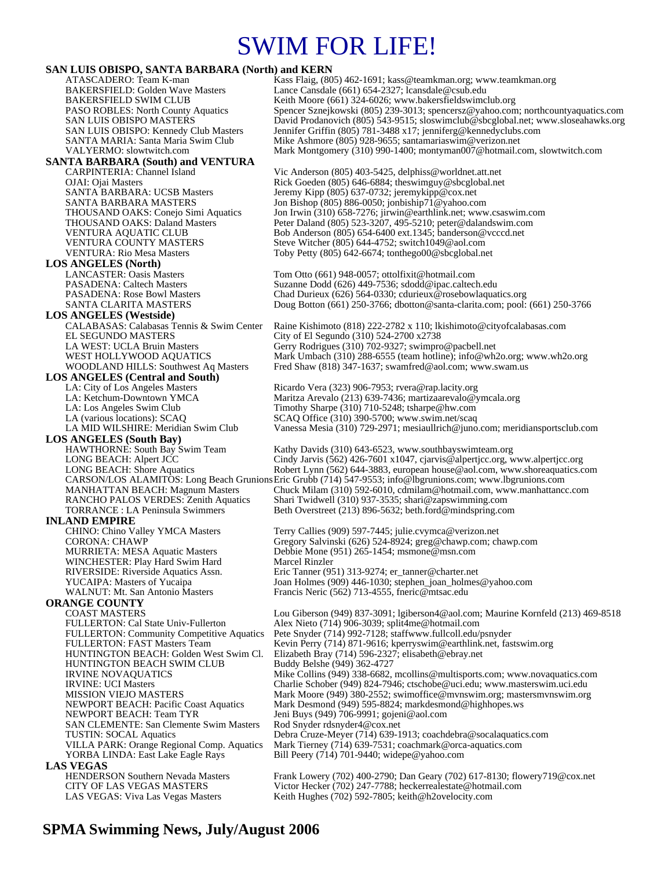## SWIM FOR LIFE!

### **SAN LUIS OBISPO, SANTA BARBARA (North) and KERN**

| $\mu$ and $\mu$ and $\sigma$ , $\mu$ and $\sigma$ , $\mu$ and $\mu$ and $\mu$<br>ATASCADERO: Team K-man | Kass Flaig, (805) 462-1691; kass@teamkman.org; www.teamkman.org                                                            |
|---------------------------------------------------------------------------------------------------------|----------------------------------------------------------------------------------------------------------------------------|
| <b>BAKERSFIELD: Golden Wave Masters</b>                                                                 | Lance Cansdale (661) 654-2327; lcansdale@csub.edu                                                                          |
| <b>BAKERSFIELD SWIM CLUB</b>                                                                            | Keith Moore (661) 324-6026; www.bakersfieldswimclub.org                                                                    |
| PASO ROBLES: North County Aquatics                                                                      | Spencer Sznejkowski (805) 239-3013; spencersz@yahoo.com; northcountyaquatics.com                                           |
| SAN LUIS OBISPO MASTERS                                                                                 | David Prodanovich (805) 543-9515; sloswimclub@sbcglobal.net; www.sloseahawks.org                                           |
| SAN LUIS OBISPO: Kennedy Club Masters                                                                   | Jennifer Griffin (805) 781-3488 x17; jenniferg@kennedyclubs.com                                                            |
| SANTA MARIA: Santa Maria Swim Club                                                                      | Mike Ashmore (805) 928-9655; santamariaswim@verizon.net                                                                    |
| VALYERMO: slowtwitch.com                                                                                | Mark Montgomery (310) 990-1400; montyman007@hotmail.com, slowtwitch.com                                                    |
| <b>SANTA BARBARA (South) and VENTURA</b>                                                                |                                                                                                                            |
| CARPINTERIA: Channel Island                                                                             | Vic Anderson $(805)$ 403-5425, delphiss@worldnet.att.net                                                                   |
| OJAI: Ojai Masters                                                                                      | Rick Goeden (805) 646-6884; theswimguy@sbcglobal.net                                                                       |
| SANTA BARBARA: UCSB Masters                                                                             | Jeremy Kipp (805) 637-0732; jeremykipp@cox.net                                                                             |
| SANTA BARBARA MASTERS                                                                                   | Jon Bishop (805) 886-0050; jonbiship71@yahoo.com                                                                           |
| THOUSAND OAKS: Conejo Simi Aquatics                                                                     | Jon Irwin (310) 658-7276; jirwin@earthlink.net; www.csaswim.com                                                            |
| THOUSAND OAKS: Daland Masters<br><b>VENTURA AQUATIC CLUB</b>                                            | Peter Daland (805) 523-3207, 495-5210; peter@dalandswim.com<br>Bob Anderson (805) 654-6400 ext.1345; banderson @ vcccd.net |
| VENTURA COUNTY MASTERS                                                                                  | Steve Witcher (805) 644-4752; switch1049@aol.com                                                                           |
| <b>VENTURA: Rio Mesa Masters</b>                                                                        | Toby Petty (805) 642-6674; tonthego00@sbcglobal.net                                                                        |
| <b>LOS ANGELES (North)</b>                                                                              |                                                                                                                            |
| <b>LANCASTER: Oasis Masters</b>                                                                         | Tom Otto (661) 948-0057; ottolfixit@hotmail.com                                                                            |
| <b>PASADENA: Caltech Masters</b>                                                                        | Suzanne Dodd (626) 449-7536; sdodd@ipac.caltech.edu                                                                        |
| <b>PASADENA: Rose Bowl Masters</b>                                                                      | Chad Durieux (626) 564-0330; cdurieux@rosebowlaquatics.org                                                                 |
| SANTA CLARITA MASTERS                                                                                   | Doug Botton (661) 250-3766; dbotton@santa-clarita.com; pool: (661) 250-3766                                                |
| <b>LOS ANGELES (Westside)</b>                                                                           |                                                                                                                            |
| CALABASAS: Calabasas Tennis & Swim Center                                                               | Raine Kishimoto (818) 222-2782 x 110; lkishimoto@cityofcalabasas.com                                                       |
| EL SEGUNDO MASTERS                                                                                      | City of El Segundo (310) 524-2700 x2738                                                                                    |
| LA WEST: UCLA Bruin Masters                                                                             | Gerry Rodrigues (310) 702-9327; swimpro@pacbell.net                                                                        |
| WEST HOLLYWOOD AQUATICS                                                                                 | Mark Umbach (310) 288-6555 (team hotline); info@wh2o.org; www.wh2o.org                                                     |
| <b>WOODLAND HILLS: Southwest Aq Masters</b>                                                             | Fred Shaw (818) 347-1637; swamfred@aol.com; www.swam.us                                                                    |
| <b>LOS ANGELES</b> (Central and South)                                                                  |                                                                                                                            |
| LA: City of Los Angeles Masters                                                                         | Ricardo Vera (323) 906-7953; rvera@rap.lacity.org                                                                          |
| LA: Ketchum-Downtown YMCA                                                                               | Maritza Arevalo (213) 639-7436; martizaarevalo@ymcala.org                                                                  |
| LA: Los Angeles Swim Club                                                                               | Timothy Sharpe (310) 710-5248; tsharpe@hw.com                                                                              |
| LA (various locations): SCAQ                                                                            | SCAQ Office (310) 390-5700; www.swim.net/scaq                                                                              |
| LA MID WILSHIRE: Meridian Swim Club                                                                     | Vanessa Mesia (310) 729-2971; mesiaullrich@juno.com; meridiansportsclub.com                                                |
| <b>LOS ANGELES</b> (South Bay)                                                                          |                                                                                                                            |
| HAWTHORNE: South Bay Swim Team                                                                          | Kathy Davids (310) 643-6523, www.southbayswimteam.org                                                                      |
| LONG BEACH: Alpert JCC                                                                                  | Cindy Jarvis (562) 426-7601 x1047, cjarvis@alpertjcc.org, www.alpertjcc.org                                                |
| LONG BEACH: Shore Aquatics                                                                              | Robert Lynn (562) 644-3883, european house@aol.com, www.shoreaquatics.com                                                  |
|                                                                                                         | CARSON/LOS ALAMITOS: Long Beach Grunions Eric Grubb (714) 547-9553; info@lbgrunions.com; www.lbgrunions.com                |
| <b>MANHATTAN BEACH: Magnum Masters</b>                                                                  | Chuck Milam (310) 592-6010, cdmilam@hotmail.com, www.manhattancc.com                                                       |
| RANCHO PALOS VERDES: Zenith Aquatics                                                                    | Shari Twidwell (310) 937-3535; shari@zapswimming.com                                                                       |
| <b>TORRANCE</b> : LA Peninsula Swimmers                                                                 | Beth Overstreet (213) 896-5632; beth.ford@mindspring.com                                                                   |
| <b>INLAND EMPIRE</b>                                                                                    |                                                                                                                            |
| CHINO: Chino Valley YMCA Masters                                                                        | Terry Callies (909) 597-7445; julie.cvymca@verizon.net                                                                     |
| <b>CORONA: CHAWP</b>                                                                                    | Gregory Salvinski (626) 524-8924; greg@chawp.com; chawp.com                                                                |
| <b>MURRIETA: MESA Aquatic Masters</b>                                                                   | Debbie Mone (951) 265-1454; msmone@msn.com                                                                                 |
| WINCHESTER: Play Hard Swim Hard<br>RIVERSIDE: Riverside Aquatics Assn.                                  | Marcel Rinzler<br>Eric Tanner (951) 313-9274; er_tanner@charter.net                                                        |
| YUCAIPA: Masters of Yucaipa                                                                             | Joan Holmes (909) 446-1030; stephen_joan_holmes@yahoo.com                                                                  |
|                                                                                                         |                                                                                                                            |
|                                                                                                         |                                                                                                                            |
| WALNUT: Mt. San Antonio Masters                                                                         | Francis Neric (562) 713-4555, fneric@mtsac.edu                                                                             |
| <b>ORANGE COUNTY</b>                                                                                    |                                                                                                                            |
| <b>COAST MASTERS</b>                                                                                    | Lou Giberson (949) 837-3091; lgiberson4@aol.com; Maurine Kornfeld (213) 469-8518                                           |
| FULLERTON: Cal State Univ-Fullerton                                                                     | Alex Nieto (714) 906-3039; split4me@hotmail.com                                                                            |
| <b>FULLERTON: Community Competitive Aquatics</b>                                                        | Pete Snyder (714) 992-7128; staffwww.fullcoll.edu/psnyder                                                                  |
| <b>FULLERTON: FAST Masters Team</b><br>HUNTINGTON BEACH: Golden West Swim Cl.                           | Kevin Perry (714) 871-9616; kperryswim@earthlink.net, fastswim.org                                                         |
| HUNTINGTON BEACH SWIM CLUB                                                                              | Elizabeth Bray (714) 596-2327; elisabeth@ebray.net                                                                         |
|                                                                                                         | Buddy Belshe (949) 362-4727<br>Mike Collins (949) 338-6682, mcollins@multisports.com; www.novaquatics.com                  |
| <b>IRVINE NOVAQUATICS</b><br><b>IRVINE: UCI Masters</b>                                                 | Charlie Schober (949) 824-7946; ctschobe@uci.edu; www.masterswim.uci.edu                                                   |
| MISSION VIEJO MASTERS                                                                                   | Mark Moore (949) 380-2552; swimoffice@mvnswim.org; mastersmvnswim.org                                                      |
| <b>NEWPORT BEACH: Pacific Coast Aquatics</b>                                                            | Mark Desmond (949) 595-8824; markdesmond@highhopes.ws                                                                      |
| NEWPORT BEACH: Team TYR                                                                                 | Jeni Buys (949) 706-9991; gojeni@aol.com                                                                                   |
| <b>SAN CLEMENTE: San Clemente Swim Masters</b>                                                          | Rod Snyder rdsnyder4@cox.net                                                                                               |
| <b>TUSTIN: SOCAL Aquatics</b>                                                                           | Debra Cruze-Meyer (714) 639-1913; coachdebra@socalaquatics.com                                                             |
| VILLA PARK: Orange Regional Comp. Aquatics                                                              | Mark Tierney (714) 639-7531; coachmark@orca-aquatics.com                                                                   |
| YORBA LINDA: East Lake Eagle Rays                                                                       | Bill Peery (714) 701-9440; widepe@yahoo.com                                                                                |
| <b>LAS VEGAS</b>                                                                                        |                                                                                                                            |
| HENDERSON Southern Nevada Masters                                                                       | Frank Lowery (702) 400-2790; Dan Geary (702) 617-8130; flowery719@cox.net                                                  |
| <b>CITY OF LAS VEGAS MASTERS</b><br>LAS VEGAS: Viva Las Vegas Masters                                   | Victor Hecker (702) 247-7788; heckerrealestate@hotmail.com<br>Keith Hughes (702) 592-7805; keith@h2ovelocity.com           |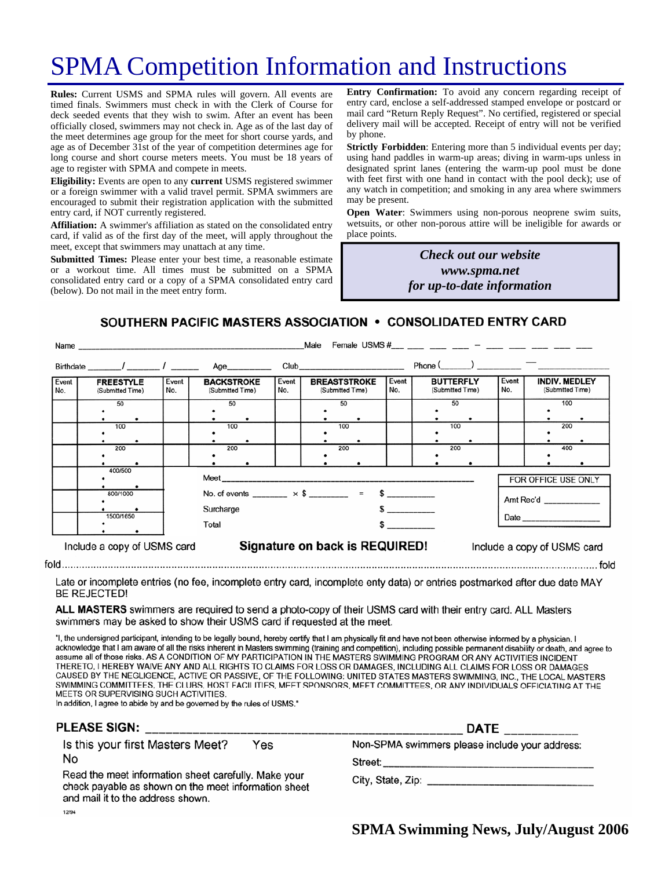# SPMA Competition Information and Instructions

**Rules:** Current USMS and SPMA rules will govern. All events are timed finals. Swimmers must check in with the Clerk of Course for deck seeded events that they wish to swim. After an event has been officially closed, swimmers may not check in. Age as of the last day of the meet determines age group for the meet for short course yards, and age as of December 31st of the year of competition determines age for long course and short course meters meets. You must be 18 years of age to register with SPMA and compete in meets.

**Eligibility:** Events are open to any **current** USMS registered swimmer or a foreign swimmer with a valid travel permit. SPMA swimmers are encouraged to submit their registration application with the submitted entry card, if NOT currently registered.

**Affiliation:** A swimmer's affiliation as stated on the consolidated entry card, if valid as of the first day of the meet, will apply throughout the meet, except that swimmers may unattach at any time.

**Submitted Times:** Please enter your best time, a reasonable estimate or a workout time. All times must be submitted on a SPMA consolidated entry card or a copy of a SPMA consolidated entry card (below). Do not mail in the meet entry form.

**Entry Confirmation:** To avoid any concern regarding receipt of entry card, enclose a self-addressed stamped envelope or postcard or mail card "Return Reply Request". No certified, registered or special delivery mail will be accepted. Receipt of entry will not be verified by phone.

**Strictly Forbidden**: Entering more than 5 individual events per day; using hand paddles in warm-up areas; diving in warm-ups unless in designated sprint lanes (entering the warm-up pool must be done with feet first with one hand in contact with the pool deck); use of any watch in competition; and smoking in any area where swimmers may be present.

**Open Water**: Swimmers using non-porous neoprene swim suits, wetsuits, or other non-porous attire will be ineligible for awards or place points.

> *Check out our website www.spma.net for up-to-date information*

SOUTHERN PACIFIC MASTERS ASSOCIATION • CONSOLIDATED ENTRY CARD

|                                                                                              | Name                                 |              |                                                                               |              | Male                                                                                                                                                                                                                           |              | Female USMS #___ __ __ __ _ _ _ _ _ _ _ _ __ __ ___ __ ___ |                                  |                                          |
|----------------------------------------------------------------------------------------------|--------------------------------------|--------------|-------------------------------------------------------------------------------|--------------|--------------------------------------------------------------------------------------------------------------------------------------------------------------------------------------------------------------------------------|--------------|------------------------------------------------------------|----------------------------------|------------------------------------------|
|                                                                                              | Birthdate / /                        |              | Age__________                                                                 |              | Club and the contract of the contract of the contract of the contract of the contract of the contract of the contract of the contract of the contract of the contract of the contract of the contract of the contract of the c |              | $Phone($ $)$ $)$ $)$                                       |                                  |                                          |
| Event<br>No.                                                                                 | <b>FREESTYLE</b><br>(Submitted Time) | Event<br>No. | <b>BACKSTROKE</b><br>(Submitted Time)                                         | Event<br>No. | <b>BREASTSTROKE</b><br>(Submitted Time)                                                                                                                                                                                        | Event<br>No. | <b>BUTTERFLY</b><br>(Submitted Time)                       | Event<br>No.                     | <b>INDIV. MEDLEY</b><br>(Submitted Time) |
|                                                                                              | 50                                   |              | 50                                                                            |              | 50                                                                                                                                                                                                                             |              | 50                                                         |                                  | 100                                      |
|                                                                                              |                                      |              |                                                                               |              |                                                                                                                                                                                                                                |              |                                                            |                                  |                                          |
|                                                                                              | 100                                  |              | 100                                                                           |              | 100                                                                                                                                                                                                                            |              | 100                                                        |                                  | 200                                      |
|                                                                                              |                                      |              |                                                                               |              |                                                                                                                                                                                                                                |              |                                                            |                                  |                                          |
|                                                                                              | 200                                  |              | 200                                                                           |              | 200                                                                                                                                                                                                                            |              | 200                                                        |                                  | 400                                      |
|                                                                                              |                                      |              |                                                                               |              |                                                                                                                                                                                                                                |              |                                                            |                                  |                                          |
|                                                                                              | 400/500<br>800/1000<br>1500/1650     |              | No. of events _______ $\times$ \$ _______ = \$ ________<br>Surcharge<br>Total |              |                                                                                                                                                                                                                                |              |                                                            | FOR OFFICE USE ONLY<br>Amt Rec'd |                                          |
| Signature on back is REQUIRED!<br>Include a copy of USMS card<br>Include a copy of USMS card |                                      |              |                                                                               |              |                                                                                                                                                                                                                                |              |                                                            |                                  |                                          |

Late or incomplete entries (no fee, incomplete entry card, incomplete enty data) or entries postmarked after due date MAY **BE REJECTED!** 

ALL MASTERS swimmers are required to send a photo-copy of their USMS card with their entry card. ALL Masters swimmers may be asked to show their USMS card if requested at the meet.

"I, the undersigned participant, intending to be legally bound, hereby certify that I am physically fit and have not been otherwise informed by a physician. I acknowledge that I am aware of all the risks inherent in Masters swimming (training and competition), including possible permanent disability or death, and agree to assume all of those risks. AS A CONDITION OF MY PARTICIPATION IN THE MASTERS SWIMMING PROGRAM OR ANY ACTIVITIES INCIDENT THERETO, I HEREBY WAIVE ANY AND ALL RIGHTS TO CLAIMS FOR LOSS OR DAMAGES, INCLUDING ALL CLAIMS FOR LOSS OR DAMAGES CAUSED BY THE NEGLIGENCE, ACTIVE OR PASSIVE, OF THE FOLLOWING: UNITED STATES MASTERS SWIMMING, INC., THE LOCAL MASTERS SWIMMING COMMITTEES, THE CLUBS, HOST FACILITIES, MEET SPONSORS, MEET COMMITTEES, OR ANY INDIVIDUALS OFFICIATING AT THE MEETS OR SUPERVISING SUCH ACTIVITIES.

In addition, I agree to abide by and be governed by the rules of USMS."

 $fold$ <sub>....</sub>....

| PLEASE SIGN:                                                                                                                                                                                                | <b>DATE</b>                                    |
|-------------------------------------------------------------------------------------------------------------------------------------------------------------------------------------------------------------|------------------------------------------------|
| Is this your first Masters Meet?<br>Yes<br>No<br>Read the meet information sheet carefully. Make your<br>check payable as shown on the meet information sheet<br>and mail it to the address shown.<br>12/94 | Non-SPMA swimmers please include your address: |

**SPMA Swimming News, July/August 2006** 

 $f \cap H$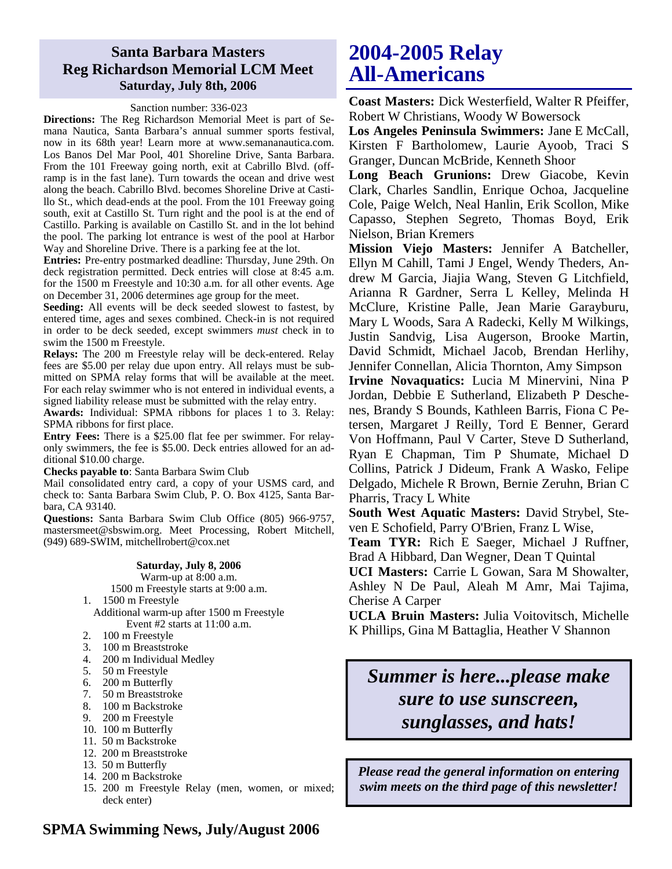### **Santa Barbara Masters Reg Richardson Memorial LCM Meet Saturday, July 8th, 2006**

#### Sanction number: 336-023

**Directions:** The Reg Richardson Memorial Meet is part of Semana Nautica, Santa Barbara's annual summer sports festival, now in its 68th year! Learn more at www.semananautica.com. Los Banos Del Mar Pool, 401 Shoreline Drive, Santa Barbara. From the 101 Freeway going north, exit at Cabrillo Blvd. (offramp is in the fast lane). Turn towards the ocean and drive west along the beach. Cabrillo Blvd. becomes Shoreline Drive at Castillo St., which dead-ends at the pool. From the 101 Freeway going south, exit at Castillo St. Turn right and the pool is at the end of Castillo. Parking is available on Castillo St. and in the lot behind the pool. The parking lot entrance is west of the pool at Harbor Way and Shoreline Drive. There is a parking fee at the lot.

**Entries:** Pre-entry postmarked deadline: Thursday, June 29th. On deck registration permitted. Deck entries will close at 8:45 a.m. for the 1500 m Freestyle and 10:30 a.m. for all other events. Age on December 31, 2006 determines age group for the meet.

**Seeding:** All events will be deck seeded slowest to fastest, by entered time, ages and sexes combined. Check-in is not required in order to be deck seeded, except swimmers *must* check in to swim the 1500 m Freestyle.

**Relays:** The 200 m Freestyle relay will be deck-entered. Relay fees are \$5.00 per relay due upon entry. All relays must be submitted on SPMA relay forms that will be available at the meet. For each relay swimmer who is not entered in individual events, a signed liability release must be submitted with the relay entry.

**Awards:** Individual: SPMA ribbons for places 1 to 3. Relay: SPMA ribbons for first place.

**Entry Fees:** There is a \$25.00 flat fee per swimmer. For relayonly swimmers, the fee is \$5.00. Deck entries allowed for an additional \$10.00 charge.

**Checks payable to**: Santa Barbara Swim Club

Mail consolidated entry card, a copy of your USMS card, and check to: Santa Barbara Swim Club, P. O. Box 4125, Santa Barbara, CA 93140.

**Questions:** Santa Barbara Swim Club Office (805) 966-9757, mastersmeet@sbswim.org. Meet Processing, Robert Mitchell, (949) 689-SWIM, mitchellrobert@cox.net

#### **Saturday, July 8, 2006**

Warm-up at 8:00 a.m. 1500 m Freestyle starts at 9:00 a.m.

1. 1500 m Freestyle

Additional warm-up after 1500 m Freestyle Event #2 starts at 11:00 a.m.

- 2. 100 m Freestyle
- 3. 100 m Breaststroke
- 4. 200 m Individual Medley
- 5. 50 m Freestyle
- 6. 200 m Butterfly
- 7. 50 m Breaststroke
- 8. 100 m Backstroke
- 9. 200 m Freestyle
- 10. 100 m Butterfly
- 11. 50 m Backstroke
- 12. 200 m Breaststroke
- 13. 50 m Butterfly
- 14. 200 m Backstroke
- 15. 200 m Freestyle Relay (men, women, or mixed; deck enter)

## **2004-2005 Relay All-Americans**

**Coast Masters:** Dick Westerfield, Walter R Pfeiffer, Robert W Christians, Woody W Bowersock

**Los Angeles Peninsula Swimmers:** Jane E McCall, Kirsten F Bartholomew, Laurie Ayoob, Traci S Granger, Duncan McBride, Kenneth Shoor

**Long Beach Grunions:** Drew Giacobe, Kevin Clark, Charles Sandlin, Enrique Ochoa, Jacqueline Cole, Paige Welch, Neal Hanlin, Erik Scollon, Mike Capasso, Stephen Segreto, Thomas Boyd, Erik Nielson, Brian Kremers

**Mission Viejo Masters:** Jennifer A Batcheller, Ellyn M Cahill, Tami J Engel, Wendy Theders, Andrew M Garcia, Jiajia Wang, Steven G Litchfield, Arianna R Gardner, Serra L Kelley, Melinda H McClure, Kristine Palle, Jean Marie Garayburu, Mary L Woods, Sara A Radecki, Kelly M Wilkings, Justin Sandvig, Lisa Augerson, Brooke Martin, David Schmidt, Michael Jacob, Brendan Herlihy,

Jennifer Connellan, Alicia Thornton, Amy Simpson **Irvine Novaquatics:** Lucia M Minervini, Nina P Jordan, Debbie E Sutherland, Elizabeth P Deschenes, Brandy S Bounds, Kathleen Barris, Fiona C Petersen, Margaret J Reilly, Tord E Benner, Gerard Von Hoffmann, Paul V Carter, Steve D Sutherland, Ryan E Chapman, Tim P Shumate, Michael D Collins, Patrick J Dideum, Frank A Wasko, Felipe Delgado, Michele R Brown, Bernie Zeruhn, Brian C Pharris, Tracy L White

**South West Aquatic Masters:** David Strybel, Steven E Schofield, Parry O'Brien, Franz L Wise,

**Team TYR:** Rich E Saeger, Michael J Ruffner, Brad A Hibbard, Dan Wegner, Dean T Quintal

**UCI Masters:** Carrie L Gowan, Sara M Showalter, Ashley N De Paul, Aleah M Amr, Mai Tajima, Cherise A Carper

**UCLA Bruin Masters:** Julia Voitovitsch, Michelle K Phillips, Gina M Battaglia, Heather V Shannon

## *Summer is here...please make sure to use sunscreen, sunglasses, and hats!*

*Please read the general information on entering swim meets on the third page of this newsletter!* 

### **SPMA Swimming News, July/August 2006**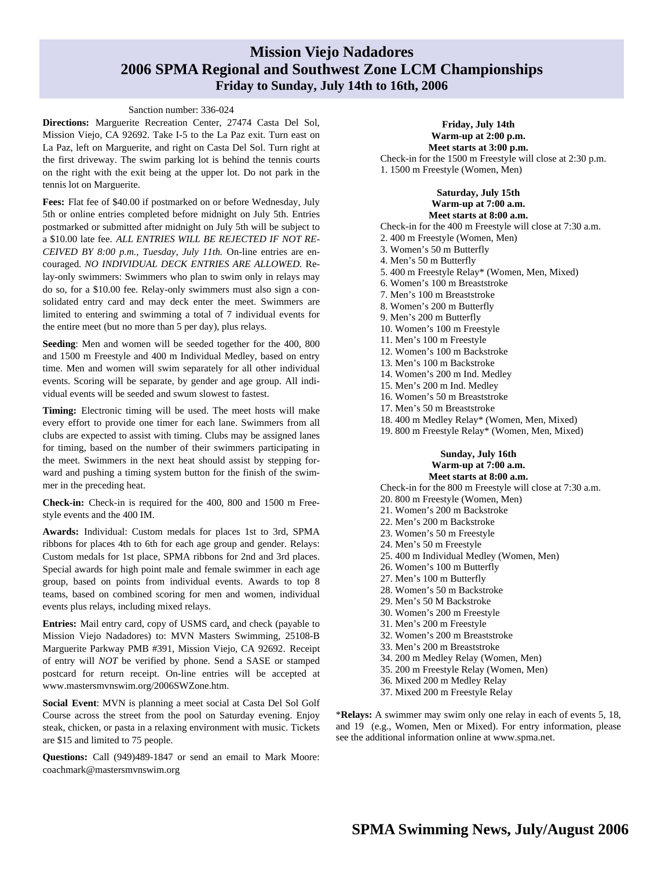### **Mission Viejo Nadadores 2006 SPMA Regional and Southwest Zone LCM Championships Friday to Sunday, July 14th to 16th, 2006**

#### Sanction number: 336-024

**Directions:** Marguerite Recreation Center, 27474 Casta Del Sol, Mission Viejo, CA 92692. Take I-5 to the La Paz exit. Turn east on La Paz, left on Marguerite, and right on Casta Del Sol. Turn right at the first driveway. The swim parking lot is behind the tennis courts on the right with the exit being at the upper lot. Do not park in the tennis lot on Marguerite.

Fees: Flat fee of \$40.00 if postmarked on or before Wednesday, July 5th or online entries completed before midnight on July 5th. Entries postmarked or submitted after midnight on July 5th will be subject to a \$10.00 late fee. *ALL ENTRIES WILL BE REJECTED IF NOT RE-CEIVED BY 8:00 p.m., Tuesday, July 11th.* On-line entries are encouraged. *NO INDIVIDUAL DECK ENTRIES ARE ALLOWED.* Relay-only swimmers: Swimmers who plan to swim only in relays may do so, for a \$10.00 fee. Relay-only swimmers must also sign a consolidated entry card and may deck enter the meet. Swimmers are limited to entering and swimming a total of 7 individual events for the entire meet (but no more than 5 per day), plus relays.

**Seeding**: Men and women will be seeded together for the 400, 800 and 1500 m Freestyle and 400 m Individual Medley, based on entry time. Men and women will swim separately for all other individual events. Scoring will be separate, by gender and age group. All individual events will be seeded and swum slowest to fastest.

**Timing:** Electronic timing will be used. The meet hosts will make every effort to provide one timer for each lane. Swimmers from all clubs are expected to assist with timing. Clubs may be assigned lanes for timing, based on the number of their swimmers participating in the meet. Swimmers in the next heat should assist by stepping forward and pushing a timing system button for the finish of the swimmer in the preceding heat.

**Check-in:** Check-in is required for the 400, 800 and 1500 m Freestyle events and the 400 IM.

**Awards:** Individual: Custom medals for places 1st to 3rd, SPMA ribbons for places 4th to 6th for each age group and gender. Relays: Custom medals for 1st place, SPMA ribbons for 2nd and 3rd places. Special awards for high point male and female swimmer in each age group, based on points from individual events. Awards to top 8 teams, based on combined scoring for men and women, individual events plus relays, including mixed relays.

**Entries:** Mail entry card, copy of USMS card, and check (payable to Mission Viejo Nadadores) to: MVN Masters Swimming, 25108-B Marguerite Parkway PMB #391, Mission Viejo, CA 92692. Receipt of entry will *NOT* be verified by phone. Send a SASE or stamped postcard for return receipt. On-line entries will be accepted at www.mastersmvnswim.org/2006SWZone.htm.

**Social Event**: MVN is planning a meet social at Casta Del Sol Golf Course across the street from the pool on Saturday evening. Enjoy steak, chicken, or pasta in a relaxing environment with music. Tickets are \$15 and limited to 75 people.

**Questions:** Call (949)489-1847 or send an email to Mark Moore: coachmark@mastersmvnswim.org

#### **Friday, July 14th Warm-up at 2:00 p.m. Meet starts at 3:00 p.m.**

Check-in for the 1500 m Freestyle will close at 2:30 p.m. 1. 1500 m Freestyle (Women, Men)

#### **Saturday, July 15th Warm-up at 7:00 a.m.**

**Meet starts at 8:00 a.m.**  Check-in for the 400 m Freestyle will close at 7:30 a.m. 2. 400 m Freestyle (Women, Men) 3. Women's 50 m Butterfly 4. Men's 50 m Butterfly 5. 400 m Freestyle Relay\* (Women, Men, Mixed) 6. Women's 100 m Breaststroke 7. Men's 100 m Breaststroke 8. Women's 200 m Butterfly 9. Men's 200 m Butterfly 10. Women's 100 m Freestyle 11. Men's 100 m Freestyle 12. Women's 100 m Backstroke 13. Men's 100 m Backstroke 14. Women's 200 m Ind. Medley 15. Men's 200 m Ind. Medley 16. Women's 50 m Breaststroke 17. Men's 50 m Breaststroke 18. 400 m Medley Relay\* (Women, Men, Mixed)

19. 800 m Freestyle Relay\* (Women, Men, Mixed)

#### **Sunday, July 16th Warm-up at 7:00 a.m. Meet starts at 8:00 a.m.**

Check-in for the 800 m Freestyle will close at 7:30 a.m. 20. 800 m Freestyle (Women, Men)

21. Women's 200 m Backstroke

22. Men's 200 m Backstroke 23. Women's 50 m Freestyle

- 24. Men's 50 m Freestyle
- 25. 400 m Individual Medley (Women, Men)
- 26. Women's 100 m Butterfly
- 27. Men's 100 m Butterfly
- 28. Women's 50 m Backstroke
- 29. Men's 50 M Backstroke
- 30. Women's 200 m Freestyle
- 31. Men's 200 m Freestyle
- 32. Women's 200 m Breaststroke
- 33. Men's 200 m Breaststroke
- 34. 200 m Medley Relay (Women, Men)
- 35. 200 m Freestyle Relay (Women, Men)
- 36. Mixed 200 m Medley Relay
- 37. Mixed 200 m Freestyle Relay

\***Relays:** A swimmer may swim only one relay in each of events 5, 18, and 19 (e.g., Women, Men or Mixed). For entry information, please see the additional information online at www.spma.net.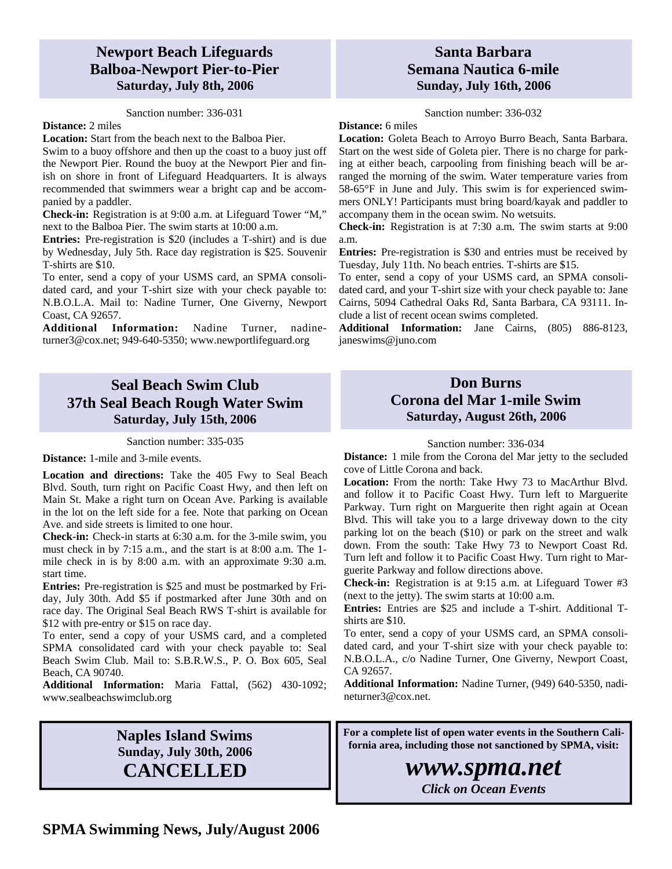### **Newport Beach Lifeguards Balboa-Newport Pier-to-Pier Saturday, July 8th, 2006**

#### Sanction number: 336-031

### **Distance:** 2 miles

**Location:** Start from the beach next to the Balboa Pier. Swim to a buoy offshore and then up the coast to a buoy just off the Newport Pier. Round the buoy at the Newport Pier and finish on shore in front of Lifeguard Headquarters. It is always recommended that swimmers wear a bright cap and be accom-

panied by a paddler. **Check-in:** Registration is at 9:00 a.m. at Lifeguard Tower "M," next to the Balboa Pier. The swim starts at 10:00 a.m.

**Entries:** Pre-registration is \$20 (includes a T-shirt) and is due by Wednesday, July 5th. Race day registration is \$25. Souvenir T-shirts are \$10.

To enter, send a copy of your USMS card, an SPMA consolidated card, and your T-shirt size with your check payable to: N.B.O.L.A. Mail to: Nadine Turner, One Giverny, Newport Coast, CA 92657.

**Additional Information:** Nadine Turner, nadineturner3@cox.net; 949-640-5350; www.newportlifeguard.org

## **Seal Beach Swim Club 37th Seal Beach Rough Water Swim Saturday, July 15th, 2006**

Sanction number: 335-035

**Distance:** 1-mile and 3-mile events.

**Location and directions:** Take the 405 Fwy to Seal Beach Blvd. South, turn right on Pacific Coast Hwy, and then left on Main St. Make a right turn on Ocean Ave. Parking is available in the lot on the left side for a fee. Note that parking on Ocean Ave. and side streets is limited to one hour.

**Check-in:** Check-in starts at 6:30 a.m. for the 3-mile swim, you must check in by 7:15 a.m., and the start is at 8:00 a.m. The 1 mile check in is by 8:00 a.m. with an approximate 9:30 a.m. start time.

**Entries:** Pre-registration is \$25 and must be postmarked by Friday, July 30th. Add \$5 if postmarked after June 30th and on race day. The Original Seal Beach RWS T-shirt is available for \$12 with pre-entry or \$15 on race day.

To enter, send a copy of your USMS card, and a completed SPMA consolidated card with your check payable to: Seal Beach Swim Club. Mail to: S.B.R.W.S., P. O. Box 605, Seal Beach, CA 90740.

**Additional Information:** Maria Fattal, (562) 430-1092; www.sealbeachswimclub.org

## **Naples Island Swims Sunday, July 30th, 2006 CANCELLED**

### **Santa Barbara Semana Nautica 6-mile Sunday, July 16th, 2006**

Sanction number: 336-032

**Distance:** 6 miles

**Location:** Goleta Beach to Arroyo Burro Beach, Santa Barbara. Start on the west side of Goleta pier. There is no charge for parking at either beach, carpooling from finishing beach will be arranged the morning of the swim. Water temperature varies from 58-65°F in June and July. This swim is for experienced swimmers ONLY! Participants must bring board/kayak and paddler to accompany them in the ocean swim. No wetsuits.

**Check-in:** Registration is at 7:30 a.m. The swim starts at 9:00 a.m.

**Entries:** Pre-registration is \$30 and entries must be received by Tuesday, July 11th. No beach entries. T-shirts are \$15.

To enter, send a copy of your USMS card, an SPMA consolidated card, and your T-shirt size with your check payable to: Jane Cairns, 5094 Cathedral Oaks Rd, Santa Barbara, CA 93111. Include a list of recent ocean swims completed.

**Additional Information:** Jane Cairns, (805) 886-8123, janeswims@juno.com

### **Don Burns Corona del Mar 1-mile Swim Saturday, August 26th, 2006**

#### Sanction number: 336-034

**Distance:** 1 mile from the Corona del Mar jetty to the secluded cove of Little Corona and back.

**Location:** From the north: Take Hwy 73 to MacArthur Blvd. and follow it to Pacific Coast Hwy. Turn left to Marguerite Parkway. Turn right on Marguerite then right again at Ocean Blvd. This will take you to a large driveway down to the city parking lot on the beach (\$10) or park on the street and walk down. From the south: Take Hwy 73 to Newport Coast Rd. Turn left and follow it to Pacific Coast Hwy. Turn right to Marguerite Parkway and follow directions above.

**Check-in:** Registration is at 9:15 a.m. at Lifeguard Tower #3 (next to the jetty). The swim starts at 10:00 a.m.

**Entries:** Entries are \$25 and include a T-shirt. Additional Tshirts are \$10.

To enter, send a copy of your USMS card, an SPMA consolidated card, and your T-shirt size with your check payable to: N.B.O.L.A., c/o Nadine Turner, One Giverny, Newport Coast, CA 92657.

**Additional Information:** Nadine Turner, (949) 640-5350, nadineturner3@cox.net.

**For a complete list of open water events in the Southern California area, including those not sanctioned by SPMA, visit:** 

## *www.spma.net*

*Click on Ocean Events*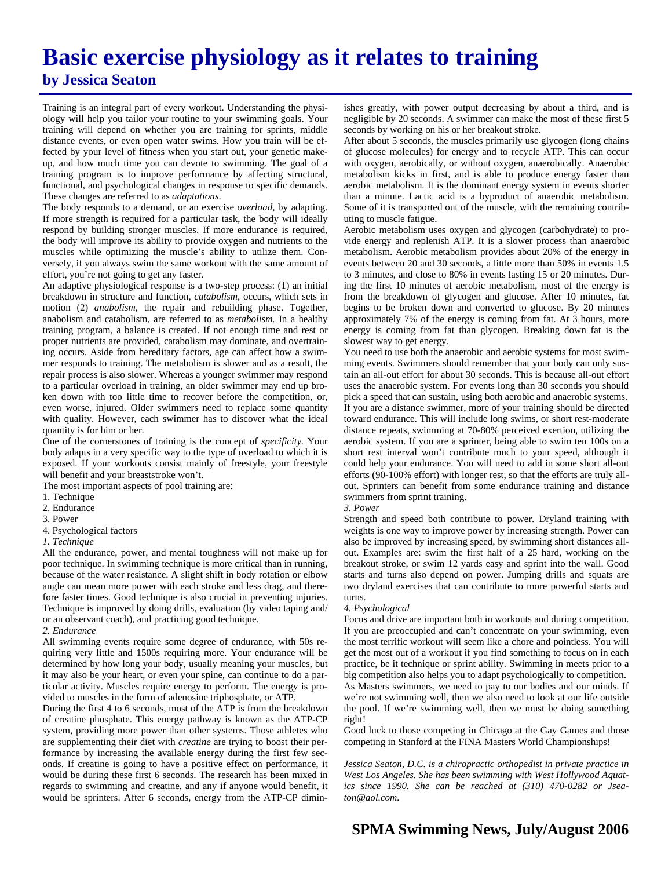## **Basic exercise physiology as it relates to training by Jessica Seaton**

Training is an integral part of every workout. Understanding the physiology will help you tailor your routine to your swimming goals. Your training will depend on whether you are training for sprints, middle distance events, or even open water swims. How you train will be effected by your level of fitness when you start out, your genetic makeup, and how much time you can devote to swimming. The goal of a training program is to improve performance by affecting structural, functional, and psychological changes in response to specific demands. These changes are referred to as *adaptations*.

The body responds to a demand, or an exercise *overload*, by adapting. If more strength is required for a particular task, the body will ideally respond by building stronger muscles. If more endurance is required, the body will improve its ability to provide oxygen and nutrients to the muscles while optimizing the muscle's ability to utilize them. Conversely, if you always swim the same workout with the same amount of effort, you're not going to get any faster.

An adaptive physiological response is a two-step process: (1) an initial breakdown in structure and function, *catabolism,* occurs, which sets in motion (2) *anabolism*, the repair and rebuilding phase. Together, anabolism and catabolism, are referred to as *metabolism.* In a healthy training program, a balance is created. If not enough time and rest or proper nutrients are provided, catabolism may dominate, and overtraining occurs. Aside from hereditary factors, age can affect how a swimmer responds to training. The metabolism is slower and as a result, the repair process is also slower. Whereas a younger swimmer may respond to a particular overload in training, an older swimmer may end up broken down with too little time to recover before the competition, or, even worse, injured. Older swimmers need to replace some quantity with quality. However, each swimmer has to discover what the ideal quantity is for him or her.

One of the cornerstones of training is the concept of *specificity.* Your body adapts in a very specific way to the type of overload to which it is exposed. If your workouts consist mainly of freestyle, your freestyle will benefit and your breaststroke won't.

The most important aspects of pool training are:

- 1. Technique
- 2. Endurance
- 3. Power
- 4. Psychological factors
- *1. Technique*

All the endurance, power, and mental toughness will not make up for poor technique. In swimming technique is more critical than in running, because of the water resistance. A slight shift in body rotation or elbow angle can mean more power with each stroke and less drag, and therefore faster times. Good technique is also crucial in preventing injuries. Technique is improved by doing drills, evaluation (by video taping and/ or an observant coach), and practicing good technique.

#### *2. Endurance*

All swimming events require some degree of endurance, with 50s requiring very little and 1500s requiring more. Your endurance will be determined by how long your body, usually meaning your muscles, but it may also be your heart, or even your spine, can continue to do a particular activity. Muscles require energy to perform. The energy is provided to muscles in the form of adenosine triphosphate, or ATP.

During the first 4 to 6 seconds, most of the ATP is from the breakdown of creatine phosphate. This energy pathway is known as the ATP-CP system, providing more power than other systems. Those athletes who are supplementing their diet with *creatine* are trying to boost their performance by increasing the available energy during the first few seconds. If creatine is going to have a positive effect on performance, it would be during these first 6 seconds. The research has been mixed in regards to swimming and creatine, and any if anyone would benefit, it would be sprinters. After 6 seconds, energy from the ATP-CP diminishes greatly, with power output decreasing by about a third, and is negligible by 20 seconds. A swimmer can make the most of these first 5 seconds by working on his or her breakout stroke.

After about 5 seconds, the muscles primarily use glycogen (long chains of glucose molecules) for energy and to recycle ATP. This can occur with oxygen, aerobically, or without oxygen, anaerobically. Anaerobic metabolism kicks in first, and is able to produce energy faster than aerobic metabolism. It is the dominant energy system in events shorter than a minute. Lactic acid is a byproduct of anaerobic metabolism. Some of it is transported out of the muscle, with the remaining contributing to muscle fatigue.

Aerobic metabolism uses oxygen and glycogen (carbohydrate) to provide energy and replenish ATP. It is a slower process than anaerobic metabolism. Aerobic metabolism provides about 20% of the energy in events between 20 and 30 seconds, a little more than 50% in events 1.5 to 3 minutes, and close to 80% in events lasting 15 or 20 minutes. During the first 10 minutes of aerobic metabolism, most of the energy is from the breakdown of glycogen and glucose. After 10 minutes, fat begins to be broken down and converted to glucose. By 20 minutes approximately 7% of the energy is coming from fat. At 3 hours, more energy is coming from fat than glycogen. Breaking down fat is the slowest way to get energy.

You need to use both the anaerobic and aerobic systems for most swimming events. Swimmers should remember that your body can only sustain an all-out effort for about 30 seconds. This is because all-out effort uses the anaerobic system. For events long than 30 seconds you should pick a speed that can sustain, using both aerobic and anaerobic systems. If you are a distance swimmer, more of your training should be directed toward endurance. This will include long swims, or short rest-moderate distance repeats, swimming at 70-80% perceived exertion, utilizing the aerobic system. If you are a sprinter, being able to swim ten 100s on a short rest interval won't contribute much to your speed, although it could help your endurance. You will need to add in some short all-out efforts (90-100% effort) with longer rest, so that the efforts are truly allout. Sprinters can benefit from some endurance training and distance swimmers from sprint training.

#### *3. Power*

Strength and speed both contribute to power. Dryland training with weights is one way to improve power by increasing strength. Power can also be improved by increasing speed, by swimming short distances allout. Examples are: swim the first half of a 25 hard, working on the breakout stroke, or swim 12 yards easy and sprint into the wall. Good starts and turns also depend on power. Jumping drills and squats are two dryland exercises that can contribute to more powerful starts and turns.

#### *4. Psychological*

Focus and drive are important both in workouts and during competition. If you are preoccupied and can't concentrate on your swimming, even the most terrific workout will seem like a chore and pointless. You will get the most out of a workout if you find something to focus on in each practice, be it technique or sprint ability. Swimming in meets prior to a big competition also helps you to adapt psychologically to competition. As Masters swimmers, we need to pay to our bodies and our minds. If we're not swimming well, then we also need to look at our life outside the pool. If we're swimming well, then we must be doing something right!

Good luck to those competing in Chicago at the Gay Games and those competing in Stanford at the FINA Masters World Championships!

*Jessica Seaton, D.C. is a chiropractic orthopedist in private practice in West Los Angeles. She has been swimming with West Hollywood Aquatics since 1990. She can be reached at (310) 470-0282 or Jseaton@aol.com.* 

### **SPMA Swimming News, July/August 2006**